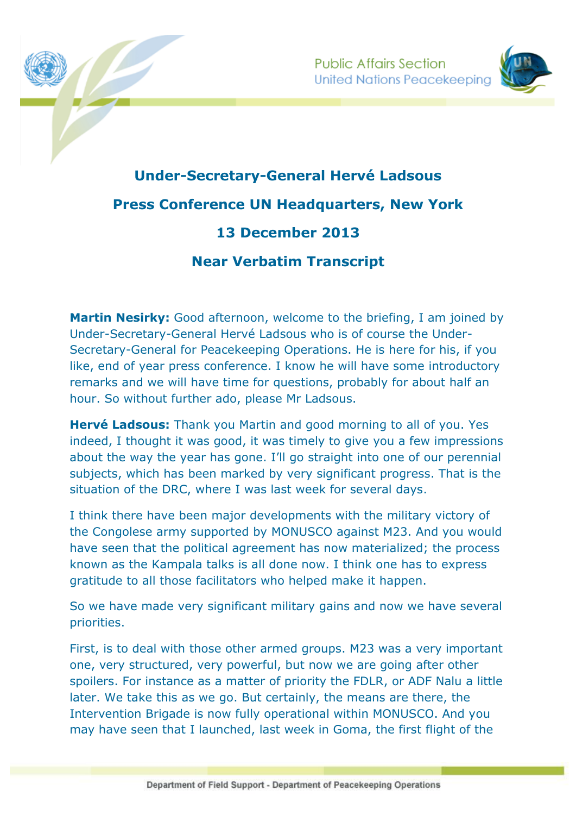

## **Under-Secretary-General Hervé Ladsous Press Conference UN Headquarters, New York 13 December 2013 Near Verbatim Transcript**

**Martin Nesirky:** Good afternoon, welcome to the briefing, I am joined by Under-Secretary-General Hervé Ladsous who is of course the Under-Secretary-General for Peacekeeping Operations. He is here for his, if you like, end of year press conference. I know he will have some introductory remarks and we will have time for questions, probably for about half an hour. So without further ado, please Mr Ladsous.

**Hervé Ladsous:** Thank you Martin and good morning to all of you. Yes indeed, I thought it was good, it was timely to give you a few impressions about the way the year has gone. I'll go straight into one of our perennial subjects, which has been marked by very significant progress. That is the situation of the DRC, where I was last week for several days.

I think there have been major developments with the military victory of the Congolese army supported by MONUSCO against M23. And you would have seen that the political agreement has now materialized; the process known as the Kampala talks is all done now. I think one has to express gratitude to all those facilitators who helped make it happen.

So we have made very significant military gains and now we have several priorities.

First, is to deal with those other armed groups. M23 was a very important one, very structured, very powerful, but now we are going after other spoilers. For instance as a matter of priority the FDLR, or ADF Nalu a little later. We take this as we go. But certainly, the means are there, the Intervention Brigade is now fully operational within MONUSCO. And you may have seen that I launched, last week in Goma, the first flight of the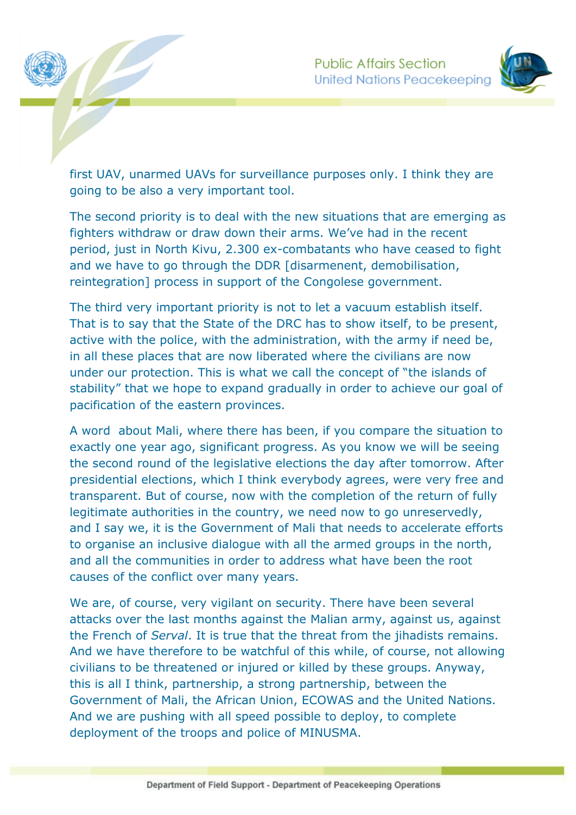



first UAV, unarmed UAVs for surveillance purposes only. I think they are going to be also a very important tool.

The second priority is to deal with the new situations that are emerging as fighters withdraw or draw down their arms. We've had in the recent period, just in North Kivu, 2.300 ex-combatants who have ceased to fight and we have to go through the DDR [disarmenent, demobilisation, reintegration] process in support of the Congolese government.

The third very important priority is not to let a vacuum establish itself. That is to say that the State of the DRC has to show itself, to be present, active with the police, with the administration, with the army if need be, in all these places that are now liberated where the civilians are now under our protection. This is what we call the concept of "the islands of stability" that we hope to expand gradually in order to achieve our goal of pacification of the eastern provinces.

A word about Mali, where there has been, if you compare the situation to exactly one year ago, significant progress. As you know we will be seeing the second round of the legislative elections the day after tomorrow. After presidential elections, which I think everybody agrees, were very free and transparent. But of course, now with the completion of the return of fully legitimate authorities in the country, we need now to go unreservedly, and I say we, it is the Government of Mali that needs to accelerate efforts to organise an inclusive dialogue with all the armed groups in the north, and all the communities in order to address what have been the root causes of the conflict over many years.

We are, of course, very vigilant on security. There have been several attacks over the last months against the Malian army, against us, against the French of *Serval*. It is true that the threat from the jihadists remains. And we have therefore to be watchful of this while, of course, not allowing civilians to be threatened or injured or killed by these groups. Anyway, this is all I think, partnership, a strong partnership, between the Government of Mali, the African Union, ECOWAS and the United Nations. And we are pushing with all speed possible to deploy, to complete deployment of the troops and police of MINUSMA.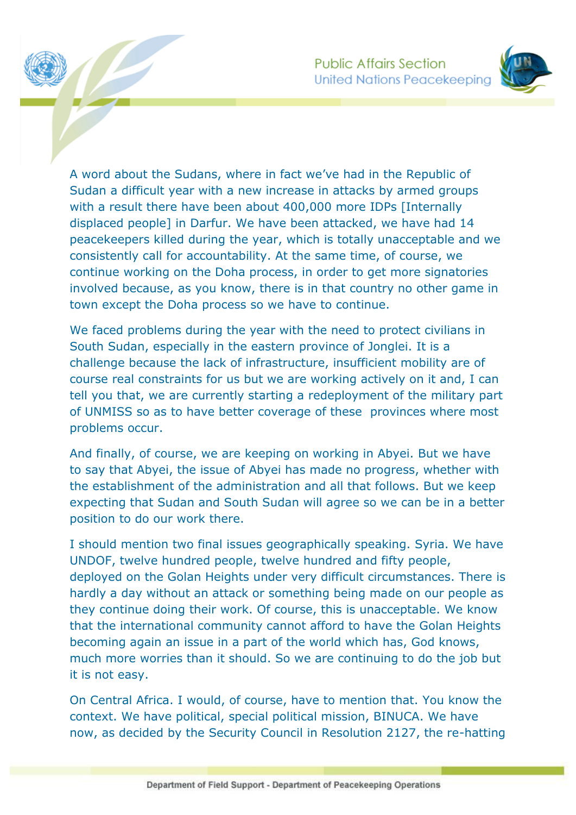

A word about the Sudans, where in fact we've had in the Republic of Sudan a difficult year with a new increase in attacks by armed groups with a result there have been about 400,000 more IDPs [Internally displaced people] in Darfur. We have been attacked, we have had 14 peacekeepers killed during the year, which is totally unacceptable and we consistently call for accountability. At the same time, of course, we continue working on the Doha process, in order to get more signatories involved because, as you know, there is in that country no other game in town except the Doha process so we have to continue.

We faced problems during the year with the need to protect civilians in South Sudan, especially in the eastern province of Jonglei. It is a challenge because the lack of infrastructure, insufficient mobility are of course real constraints for us but we are working actively on it and, I can tell you that, we are currently starting a redeployment of the military part of UNMISS so as to have better coverage of these provinces where most problems occur.

And finally, of course, we are keeping on working in Abyei. But we have to say that Abyei, the issue of Abyei has made no progress, whether with the establishment of the administration and all that follows. But we keep expecting that Sudan and South Sudan will agree so we can be in a better position to do our work there.

I should mention two final issues geographically speaking. Syria. We have UNDOF, twelve hundred people, twelve hundred and fifty people, deployed on the Golan Heights under very difficult circumstances. There is hardly a day without an attack or something being made on our people as they continue doing their work. Of course, this is unacceptable. We know that the international community cannot afford to have the Golan Heights becoming again an issue in a part of the world which has, God knows, much more worries than it should. So we are continuing to do the job but it is not easy.

On Central Africa. I would, of course, have to mention that. You know the context. We have political, special political mission, BINUCA. We have now, as decided by the Security Council in Resolution 2127, the re-hatting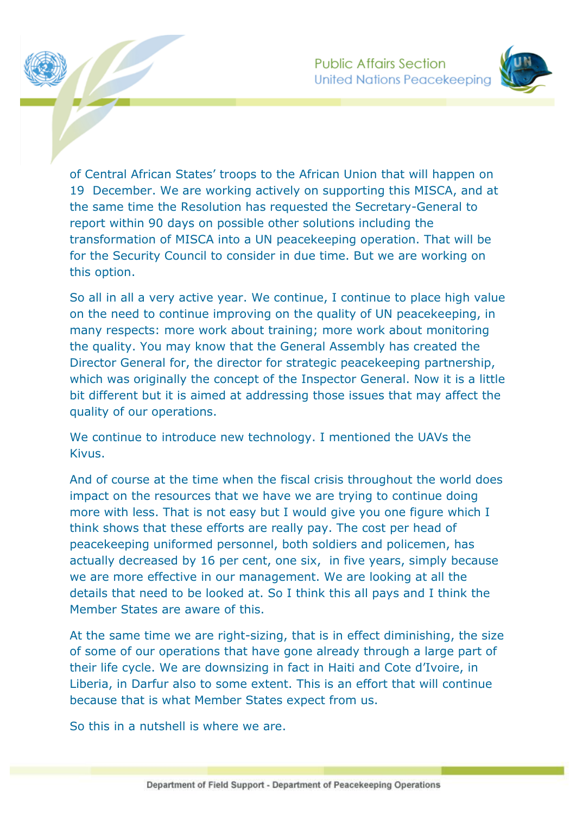

of Central African States' troops to the African Union that will happen on 19 December. We are working actively on supporting this MISCA, and at the same time the Resolution has requested the Secretary-General to report within 90 days on possible other solutions including the transformation of MISCA into a UN peacekeeping operation. That will be for the Security Council to consider in due time. But we are working on this option.

So all in all a very active year. We continue, I continue to place high value on the need to continue improving on the quality of UN peacekeeping, in many respects: more work about training; more work about monitoring the quality. You may know that the General Assembly has created the Director General for, the director for strategic peacekeeping partnership, which was originally the concept of the Inspector General. Now it is a little bit different but it is aimed at addressing those issues that may affect the quality of our operations.

We continue to introduce new technology. I mentioned the UAVs the Kivus.

And of course at the time when the fiscal crisis throughout the world does impact on the resources that we have we are trying to continue doing more with less. That is not easy but I would give you one figure which I think shows that these efforts are really pay. The cost per head of peacekeeping uniformed personnel, both soldiers and policemen, has actually decreased by 16 per cent, one six, in five years, simply because we are more effective in our management. We are looking at all the details that need to be looked at. So I think this all pays and I think the Member States are aware of this.

At the same time we are right-sizing, that is in effect diminishing, the size of some of our operations that have gone already through a large part of their life cycle. We are downsizing in fact in Haiti and Cote d'Ivoire, in Liberia, in Darfur also to some extent. This is an effort that will continue because that is what Member States expect from us.

So this in a nutshell is where we are.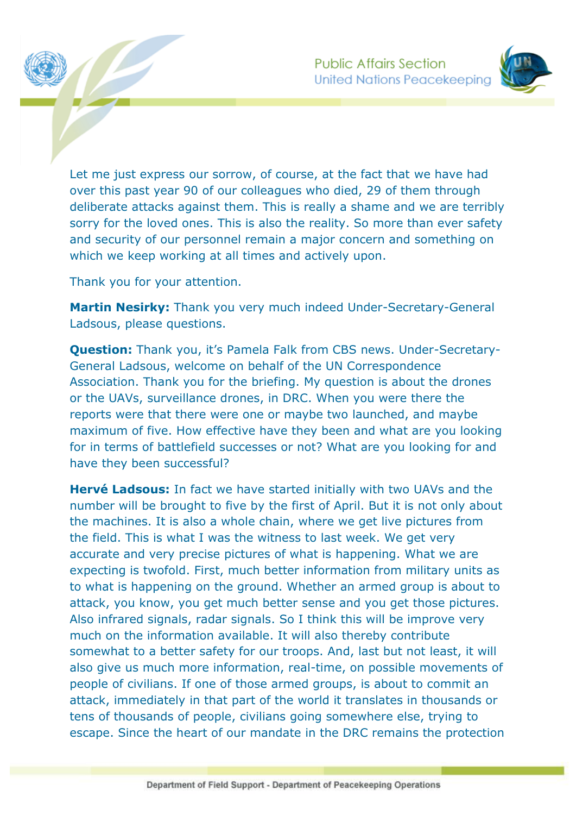

Let me just express our sorrow, of course, at the fact that we have had over this past year 90 of our colleagues who died, 29 of them through deliberate attacks against them. This is really a shame and we are terribly sorry for the loved ones. This is also the reality. So more than ever safety and security of our personnel remain a major concern and something on which we keep working at all times and actively upon.

Thank you for your attention.

**Martin Nesirky:** Thank you very much indeed Under-Secretary-General Ladsous, please questions.

**Question:** Thank you, it's Pamela Falk from CBS news. Under-Secretary-General Ladsous, welcome on behalf of the UN Correspondence Association. Thank you for the briefing. My question is about the drones or the UAVs, surveillance drones, in DRC. When you were there the reports were that there were one or maybe two launched, and maybe maximum of five. How effective have they been and what are you looking for in terms of battlefield successes or not? What are you looking for and have they been successful?

**Hervé Ladsous:** In fact we have started initially with two UAVs and the number will be brought to five by the first of April. But it is not only about the machines. It is also a whole chain, where we get live pictures from the field. This is what I was the witness to last week. We get very accurate and very precise pictures of what is happening. What we are expecting is twofold. First, much better information from military units as to what is happening on the ground. Whether an armed group is about to attack, you know, you get much better sense and you get those pictures. Also infrared signals, radar signals. So I think this will be improve very much on the information available. It will also thereby contribute somewhat to a better safety for our troops. And, last but not least, it will also give us much more information, real-time, on possible movements of people of civilians. If one of those armed groups, is about to commit an attack, immediately in that part of the world it translates in thousands or tens of thousands of people, civilians going somewhere else, trying to escape. Since the heart of our mandate in the DRC remains the protection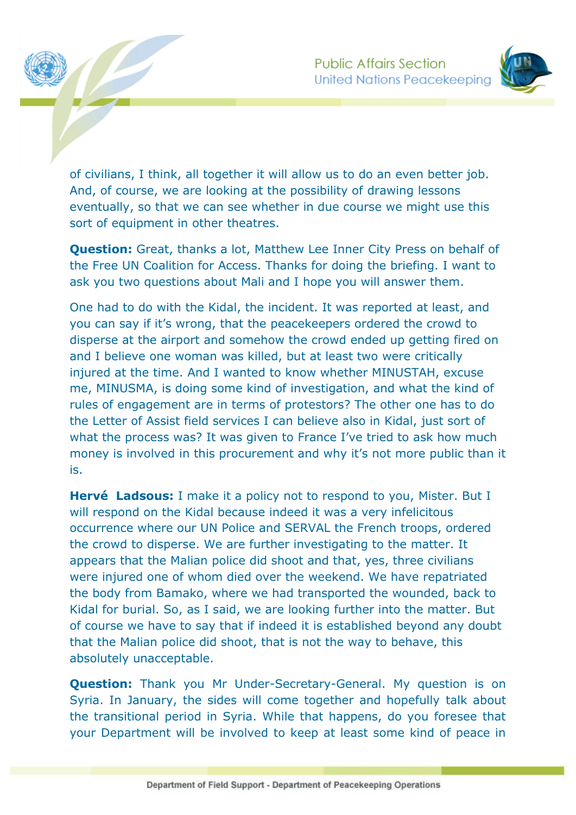

of civilians, I think, all together it will allow us to do an even better job. And, of course, we are looking at the possibility of drawing lessons eventually, so that we can see whether in due course we might use this sort of equipment in other theatres.

**Question:** Great, thanks a lot, Matthew Lee Inner City Press on behalf of the Free UN Coalition for Access. Thanks for doing the briefing. I want to ask you two questions about Mali and I hope you will answer them.

One had to do with the Kidal, the incident. It was reported at least, and you can say if it's wrong, that the peacekeepers ordered the crowd to disperse at the airport and somehow the crowd ended up getting fired on and I believe one woman was killed, but at least two were critically injured at the time. And I wanted to know whether MINUSTAH, excuse me, MINUSMA, is doing some kind of investigation, and what the kind of rules of engagement are in terms of protestors? The other one has to do the Letter of Assist field services I can believe also in Kidal, just sort of what the process was? It was given to France I've tried to ask how much money is involved in this procurement and why it's not more public than it is.

**Hervé Ladsous:** I make it a policy not to respond to you, Mister. But I will respond on the Kidal because indeed it was a very infelicitous occurrence where our UN Police and SERVAL the French troops, ordered the crowd to disperse. We are further investigating to the matter. It appears that the Malian police did shoot and that, yes, three civilians were injured one of whom died over the weekend. We have repatriated the body from Bamako, where we had transported the wounded, back to Kidal for burial. So, as I said, we are looking further into the matter. But of course we have to say that if indeed it is established beyond any doubt that the Malian police did shoot, that is not the way to behave, this absolutely unacceptable.

**Question:** Thank you Mr Under-Secretary-General. My question is on Syria. In January, the sides will come together and hopefully talk about the transitional period in Syria. While that happens, do you foresee that your Department will be involved to keep at least some kind of peace in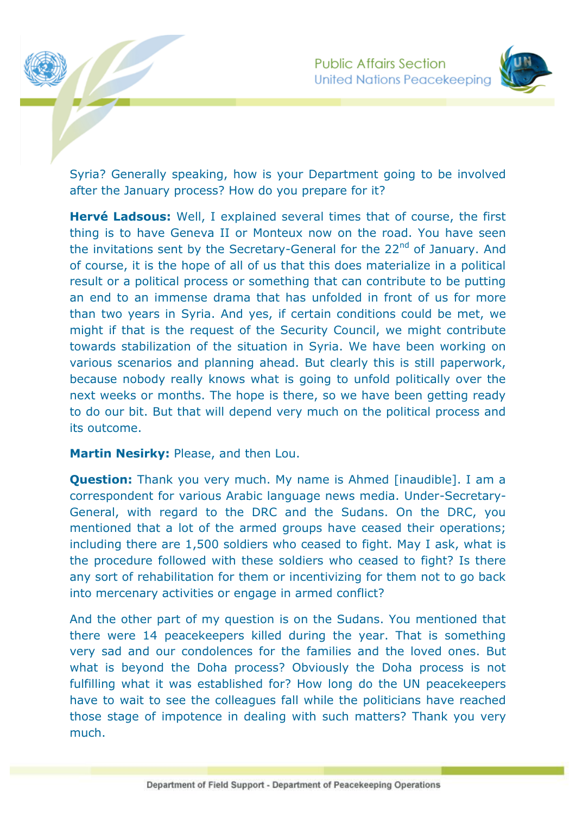



Syria? Generally speaking, how is your Department going to be involved after the January process? How do you prepare for it?

**Hervé Ladsous:** Well, I explained several times that of course, the first thing is to have Geneva II or Monteux now on the road. You have seen the invitations sent by the Secretary-General for the 22<sup>nd</sup> of January. And of course, it is the hope of all of us that this does materialize in a political result or a political process or something that can contribute to be putting an end to an immense drama that has unfolded in front of us for more than two years in Syria. And yes, if certain conditions could be met, we might if that is the request of the Security Council, we might contribute towards stabilization of the situation in Syria. We have been working on various scenarios and planning ahead. But clearly this is still paperwork, because nobody really knows what is going to unfold politically over the next weeks or months. The hope is there, so we have been getting ready to do our bit. But that will depend very much on the political process and its outcome.

## **Martin Nesirky:** Please, and then Lou.

**Question:** Thank you very much. My name is Ahmed [inaudible]. I am a correspondent for various Arabic language news media. Under-Secretary-General, with regard to the DRC and the Sudans. On the DRC, you mentioned that a lot of the armed groups have ceased their operations; including there are 1,500 soldiers who ceased to fight. May I ask, what is the procedure followed with these soldiers who ceased to fight? Is there any sort of rehabilitation for them or incentivizing for them not to go back into mercenary activities or engage in armed conflict?

And the other part of my question is on the Sudans. You mentioned that there were 14 peacekeepers killed during the year. That is something very sad and our condolences for the families and the loved ones. But what is beyond the Doha process? Obviously the Doha process is not fulfilling what it was established for? How long do the UN peacekeepers have to wait to see the colleagues fall while the politicians have reached those stage of impotence in dealing with such matters? Thank you very much.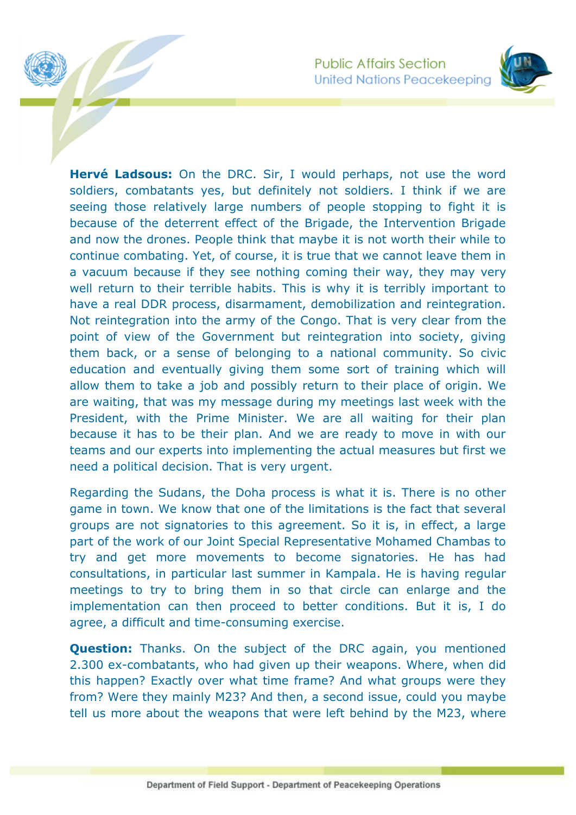**Public Affairs Section United Nations Peacekeeping** 



**Hervé Ladsous:** On the DRC. Sir, I would perhaps, not use the word soldiers, combatants yes, but definitely not soldiers. I think if we are seeing those relatively large numbers of people stopping to fight it is because of the deterrent effect of the Brigade, the Intervention Brigade and now the drones. People think that maybe it is not worth their while to continue combating. Yet, of course, it is true that we cannot leave them in a vacuum because if they see nothing coming their way, they may very well return to their terrible habits. This is why it is terribly important to have a real DDR process, disarmament, demobilization and reintegration. Not reintegration into the army of the Congo. That is very clear from the point of view of the Government but reintegration into society, giving them back, or a sense of belonging to a national community. So civic education and eventually giving them some sort of training which will allow them to take a job and possibly return to their place of origin. We are waiting, that was my message during my meetings last week with the President, with the Prime Minister. We are all waiting for their plan because it has to be their plan. And we are ready to move in with our teams and our experts into implementing the actual measures but first we need a political decision. That is very urgent.

Regarding the Sudans, the Doha process is what it is. There is no other game in town. We know that one of the limitations is the fact that several groups are not signatories to this agreement. So it is, in effect, a large part of the work of our Joint Special Representative Mohamed Chambas to try and get more movements to become signatories. He has had consultations, in particular last summer in Kampala. He is having regular meetings to try to bring them in so that circle can enlarge and the implementation can then proceed to better conditions. But it is, I do agree, a difficult and time-consuming exercise.

**Question:** Thanks, On the subject of the DRC again, you mentioned 2.300 ex-combatants, who had given up their weapons. Where, when did this happen? Exactly over what time frame? And what groups were they from? Were they mainly M23? And then, a second issue, could you maybe tell us more about the weapons that were left behind by the M23, where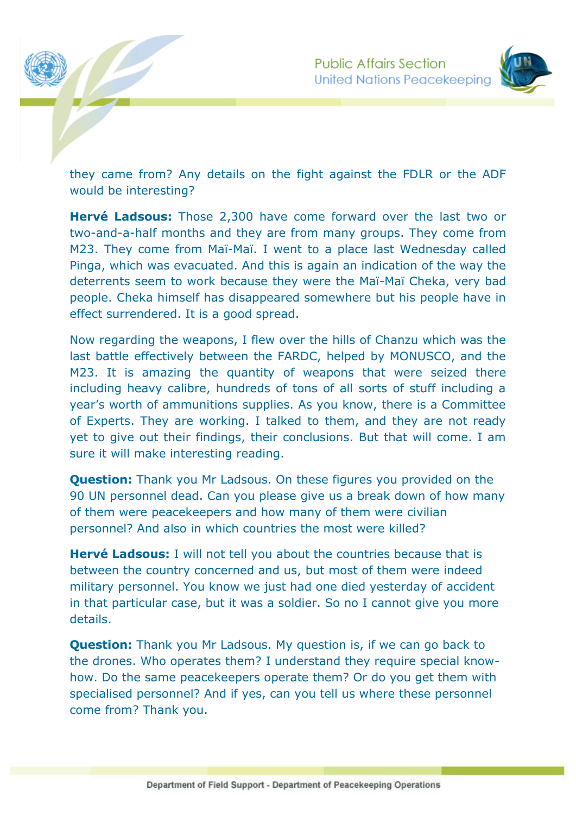



they came from? Any details on the fight against the FDLR or the ADF would be interesting?

**Hervé Ladsous:** Those 2,300 have come forward over the last two or two-and-a-half months and they are from many groups. They come from M23. They come from Maï-Maï. I went to a place last Wednesday called Pinga, which was evacuated. And this is again an indication of the way the deterrents seem to work because they were the Maï-Maï Cheka, very bad people. Cheka himself has disappeared somewhere but his people have in effect surrendered. It is a good spread.

Now regarding the weapons, I flew over the hills of Chanzu which was the last battle effectively between the FARDC, helped by MONUSCO, and the M23. It is amazing the quantity of weapons that were seized there including heavy calibre, hundreds of tons of all sorts of stuff including a year's worth of ammunitions supplies. As you know, there is a Committee of Experts. They are working. I talked to them, and they are not ready yet to give out their findings, their conclusions. But that will come. I am sure it will make interesting reading.

**Question:** Thank you Mr Ladsous. On these figures you provided on the 90 UN personnel dead. Can you please give us a break down of how many of them were peacekeepers and how many of them were civilian personnel? And also in which countries the most were killed?

**Hervé Ladsous:** I will not tell you about the countries because that is between the country concerned and us, but most of them were indeed military personnel. You know we just had one died yesterday of accident in that particular case, but it was a soldier. So no I cannot give you more details.

**Question:** Thank you Mr Ladsous. My question is, if we can go back to the drones. Who operates them? I understand they require special knowhow. Do the same peacekeepers operate them? Or do you get them with specialised personnel? And if yes, can you tell us where these personnel come from? Thank you.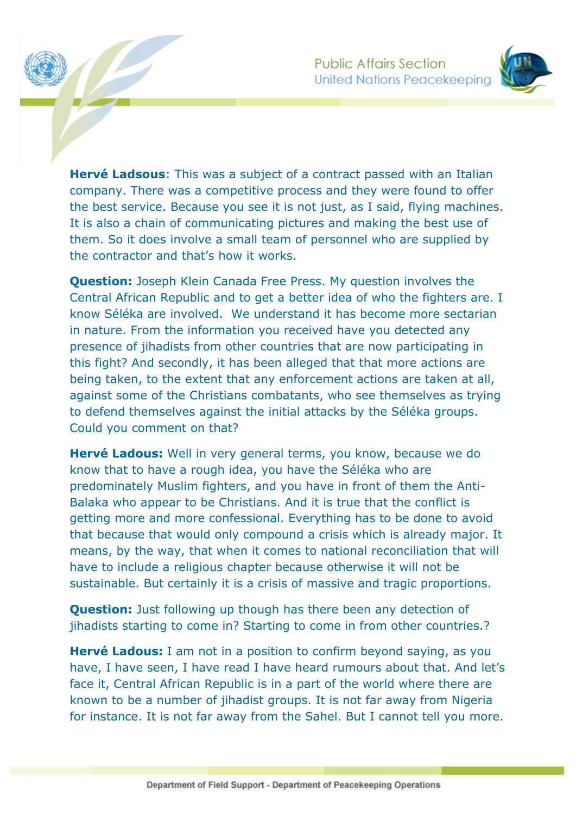

**Hervé Ladsous**: This was a subject of a contract passed with an Italian company. There was a competitive process and they were found to offer the best service. Because you see it is not just, as I said, flying machines. It is also a chain of communicating pictures and making the best use of them. So it does involve a small team of personnel who are supplied by the contractor and that's how it works.

**Question:** Joseph Klein Canada Free Press. My question involves the Central African Republic and to get a better idea of who the fighters are. I know Séléka are involved. We understand it has become more sectarian in nature. From the information you received have you detected any presence of jihadists from other countries that are now participating in this fight? And secondly, it has been alleged that that more actions are being taken, to the extent that any enforcement actions are taken at all, against some of the Christians combatants, who see themselves as trying to defend themselves against the initial attacks by the Séléka groups. Could you comment on that?

**Hervé Ladous:** Well in very general terms, you know, because we do know that to have a rough idea, you have the Séléka who are predominately Muslim fighters, and you have in front of them the Anti-Balaka who appear to be Christians. And it is true that the conflict is getting more and more confessional. Everything has to be done to avoid that because that would only compound a crisis which is already major. It means, by the way, that when it comes to national reconciliation that will have to include a religious chapter because otherwise it will not be sustainable. But certainly it is a crisis of massive and tragic proportions.

**Question:** Just following up though has there been any detection of jihadists starting to come in? Starting to come in from other countries.?

**Hervé Ladous:** I am not in a position to confirm beyond saying, as you have, I have seen, I have read I have heard rumours about that. And let's face it, Central African Republic is in a part of the world where there are known to be a number of jihadist groups. It is not far away from Nigeria for instance. It is not far away from the Sahel. But I cannot tell you more.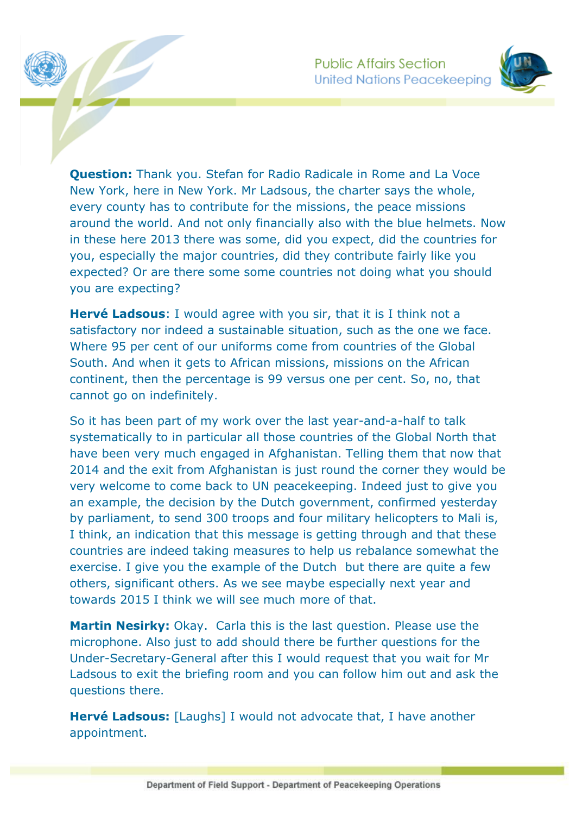

**Question:** Thank you. Stefan for Radio Radicale in Rome and La Voce New York, here in New York. Mr Ladsous, the charter says the whole, every county has to contribute for the missions, the peace missions around the world. And not only financially also with the blue helmets. Now in these here 2013 there was some, did you expect, did the countries for you, especially the major countries, did they contribute fairly like you expected? Or are there some some countries not doing what you should you are expecting?

**Hervé Ladsous**: I would agree with you sir, that it is I think not a satisfactory nor indeed a sustainable situation, such as the one we face. Where 95 per cent of our uniforms come from countries of the Global South. And when it gets to African missions, missions on the African continent, then the percentage is 99 versus one per cent. So, no, that cannot go on indefinitely.

So it has been part of my work over the last year-and-a-half to talk systematically to in particular all those countries of the Global North that have been very much engaged in Afghanistan. Telling them that now that 2014 and the exit from Afghanistan is just round the corner they would be very welcome to come back to UN peacekeeping. Indeed just to give you an example, the decision by the Dutch government, confirmed yesterday by parliament, to send 300 troops and four military helicopters to Mali is, I think, an indication that this message is getting through and that these countries are indeed taking measures to help us rebalance somewhat the exercise. I give you the example of the Dutch but there are quite a few others, significant others. As we see maybe especially next year and towards 2015 I think we will see much more of that.

**Martin Nesirky:** Okay. Carla this is the last question. Please use the microphone. Also just to add should there be further questions for the Under-Secretary-General after this I would request that you wait for Mr Ladsous to exit the briefing room and you can follow him out and ask the questions there.

**Hervé Ladsous:** [Laughs] I would not advocate that, I have another appointment.